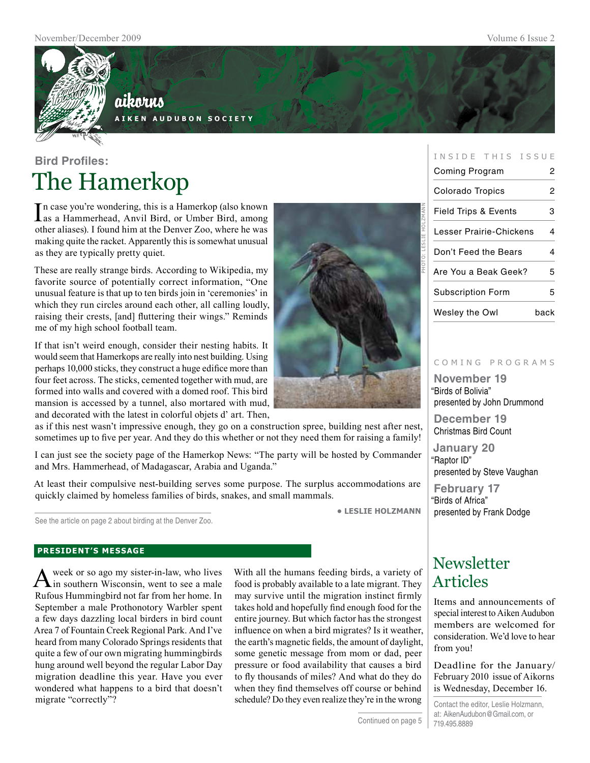

## aikorus

**A i k e n A u d u b o n S o c i e t y**

## **Bird Profiles:** The Hamerkop

In case you're wondering, this is a Hamerkop (also known<br>as a Hammerhead, Anvil Bird, or Umber Bird, among as a Hammerhead, Anvil Bird, or Umber Bird, among other aliases). I found him at the Denver Zoo, where he was making quite the racket. Apparently this is somewhat unusual as they are typically pretty quiet.

These are really strange birds. According to Wikipedia, my favorite source of potentially correct information, "One unusual feature is that up to ten birds join in 'ceremonies' in which they run circles around each other, all calling loudly, raising their crests, [and] fluttering their wings." Reminds me of my high school football team.

If that isn't weird enough, consider their nesting habits. It would seem that Hamerkops are really into nest building. Using perhaps 10,000 sticks, they construct a huge edifice more than four feet across. The sticks, cemented together with mud, are formed into walls and covered with a domed roof. This bird mansion is accessed by a tunnel, also mortared with mud, and decorated with the latest in colorful objets d' art. Then,

as if this nest wasn't impressive enough, they go on a construction spree, building nest after nest, sometimes up to five per year. And they do this whether or not they need them for raising a family!

I can just see the society page of the Hamerkop News: "The party will be hosted by Commander and Mrs. Hammerhead, of Madagascar, Arabia and Uganda."

At least their compulsive nest-building serves some purpose. The surplus accommodations are quickly claimed by homeless families of birds, snakes, and small mammals.

**• leslie holzmann**

See the article on page 2 about birding at the Denver Zoo.

#### **president's message**

A week or so ago my sister-in-law, who lives<br>in southern Wisconsin, went to see a male Rufous Hummingbird not far from her home. In September a male Prothonotory Warbler spent a few days dazzling local birders in bird count Area 7 of Fountain Creek Regional Park. And I've heard from many Colorado Springs residents that quite a few of our own migrating hummingbirds hung around well beyond the regular Labor Day migration deadline this year. Have you ever wondered what happens to a bird that doesn't migrate "correctly"?

With all the humans feeding birds, a variety of food is probably available to a late migrant. They may survive until the migration instinct firmly takes hold and hopefully find enough food for the entire journey. But which factor has the strongest influence on when a bird migrates? Is it weather, the earth's magnetic fields, the amount of daylight, some genetic message from mom or dad, peer pressure or food availability that causes a bird to fly thousands of miles? And what do they do when they find themselves off course or behind schedule? Do they even realize they're in the wrong



| Coming Program                  | 2    |
|---------------------------------|------|
| Colorado Tropics                | 2    |
| <b>Field Trips &amp; Events</b> | 3    |
| Lesser Prairie-Chickens         | 4    |
| Don't Feed the Bears            | 4    |
| Are You a Beak Geek?            | 5    |
| <b>Subscription Form</b>        | 5    |
| Wesley the Owl                  | back |

INSIDE THIS ISSUE

#### c o m i n g p r o g r a m s

**November 19** "Birds of Bolivia" presented by John Drummond

**December 19** Christmas Bird Count

**January 20** "Raptor ID" presented by Steve Vaughan

**February 17** "Birds of Africa" presented by Frank Dodge

### **Newsletter** Articles

Items and announcements of special interest to Aiken Audubon members are welcomed for consideration. We'd love to hear from you!

Deadline for the January/ February 2010 issue of Aikorns is Wednesday, December 16.

Contact the editor, Leslie Holzmann, at: AikenAudubon@Gmail.com, or 719.495.8889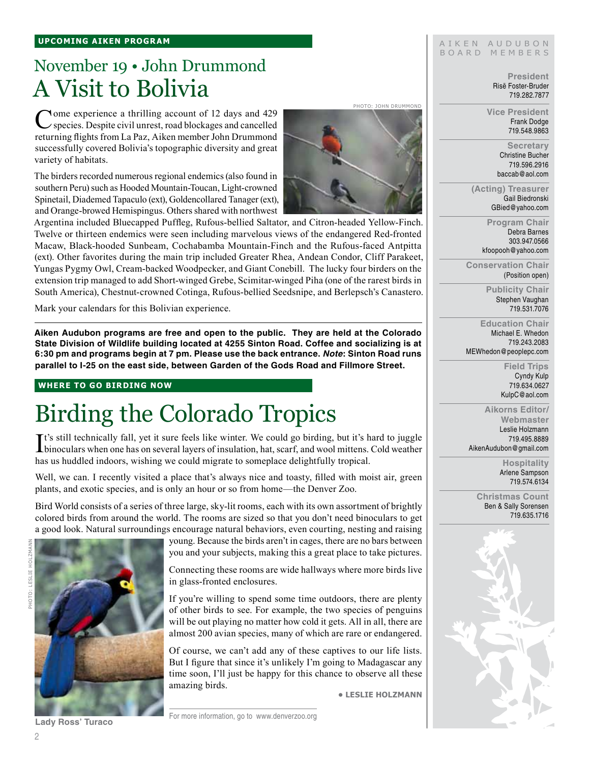## November 19 • John Drummond A Visit to Bolivia

Come experience a thrilling account of 12 days and 429 species. Despite civil unrest, road blockages and cancelled returning flights from La Paz, Aiken member John Drummond successfully covered Bolivia's topographic diversity and great variety of habitats.

The birders recorded numerous regional endemics (also found in southern Peru) such as Hooded Mountain-Toucan, Light-crowned Spinetail, Diademed Tapaculo (ext), Goldencollared Tanager (ext), and Orange-browed Hemispingus. Others shared with northwest



photo: john drummond

Argentina included Bluecapped Puffleg, Rufous-bellied Saltator, and Citron-headed Yellow-Finch. Twelve or thirteen endemics were seen including marvelous views of the endangered Red-fronted Macaw, Black-hooded Sunbeam, Cochabamba Mountain-Finch and the Rufous-faced Antpitta (ext). Other favorites during the main trip included Greater Rhea, Andean Condor, Cliff Parakeet, Yungas Pygmy Owl, Cream-backed Woodpecker, and Giant Conebill. The lucky four birders on the extension trip managed to add Short-winged Grebe, Scimitar-winged Piha (one of the rarest birds in South America), Chestnut-crowned Cotinga, Rufous-bellied Seedsnipe, and Berlepsch's Canastero.

Mark your calendars for this Bolivian experience.

**Aiken Audubon programs are free and open to the public. They are held at the Colorado State Division of Wildlife building located at 4255 Sinton Road. Coffee and socializing is at 6:30 pm and programs begin at 7 pm. Please use the back entrance.** *Note***: Sinton Road runs parallel to I-25 on the east side, between Garden of the Gods Road and Fillmore Street.**

#### **where to go birding now**

# Birding the Colorado Tropics

It's still technically fall, yet it sure feels like winter. We could go birding, but it's hard to juggle binoculars when one has on several layers of insulation, hat, scarf, and wool mittens. Cold weather  $\mathbf{T}$ t's still technically fall, yet it sure feels like winter. We could go birding, but it's hard to juggle has us huddled indoors, wishing we could migrate to someplace delightfully tropical.

Well, we can. I recently visited a place that's always nice and toasty, filled with moist air, green plants, and exotic species, and is only an hour or so from home—the Denver Zoo.

Bird World consists of a series of three large, sky-lit rooms, each with its own assortment of brightly colored birds from around the world. The rooms are sized so that you don't need binoculars to get a good look. Natural surroundings encourage natural behaviors, even courting, nesting and raising



young. Because the birds aren't in cages, there are no bars between you and your subjects, making this a great place to take pictures.

Connecting these rooms are wide hallways where more birds live in glass-fronted enclosures.

If you're willing to spend some time outdoors, there are plenty of other birds to see. For example, the two species of penguins will be out playing no matter how cold it gets. All in all, there are almost 200 avian species, many of which are rare or endangered.

Of course, we can't add any of these captives to our life lists. But I figure that since it's unlikely I'm going to Madagascar any time soon, I'll just be happy for this chance to observe all these amazing birds.

**• Leslie Holzmann**

AIKEN AUDUBON B O A R D M E M B E R S

> **President** Risë Foster-Bruder 719.282.7877

**Vice President** Frank Dodge 719.548.9863

> **Secretary** Christine Bucher 719.596.2916 baccab@aol.com

**(Acting) Treasurer** Gail Biedronski GBied@yahoo.com

> **Program Chair** Debra Barnes 303.947.0566 kfoopooh@yahoo.com

**Conservation Chair** (Position open)

> **Publicity Chair** Stephen Vaughan 719.531.7076

**Education Chair** Michael E. Whedon 719.243.2083 MEWhedon@peoplepc.com

> **Field Trips** Cyndy Kulp 719.634.0627 KulpC@aol.com

**Aikorns Editor/ Webmaster** Leslie Holzmann 719.495.8889 AikenAudubon@gmail.com

> **Hospitality** Arlene Sampson 719.574.6134

**Christmas Count** Ben & Sally Sorensen 719.635.1716



For more information, go to www.denverzoo.org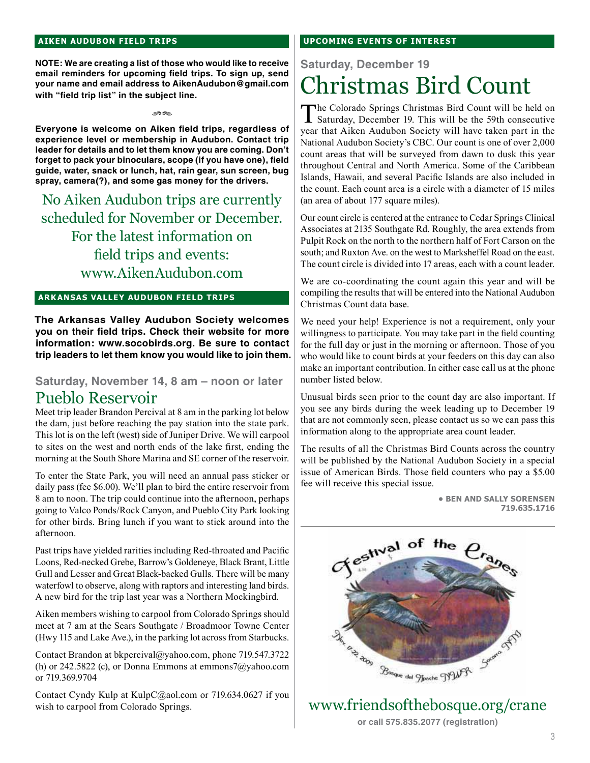#### **aiken audubon FIELD TRIPS**

**NOTE: We are creating a list of those who would like to receive email reminders for upcoming field trips. To sign up, send your name and email address to AikenAudubon@gmail.com with "field trip list" in the subject line.**

rs

**Everyone is welcome on Aiken field trips, regardless of experience level or membership in Audubon. Contact trip leader for details and to let them know you are coming. Don't forget to pack your binoculars, scope (if you have one), field guide, water, snack or lunch, hat, rain gear, sun screen, bug spray, camera(?), and some gas money for the drivers.** 

No Aiken Audubon trips are currently scheduled for November or December. For the latest information on field trips and events: www.AikenAudubon.com

#### **ark ansas valley audubon FIELD TRIPs**

**The Arkansas Valley Audubon Society welcomes you on their field trips. Check their website for more information: www.socobirds.org. Be sure to contact trip leaders to let them know you would like to join them.**

#### **Saturday, November 14, 8 am – noon or later** Pueblo Reservoir

Meet trip leader Brandon Percival at 8 am in the parking lot below the dam, just before reaching the pay station into the state park. This lot is on the left (west) side of Juniper Drive. We will carpool to sites on the west and north ends of the lake first, ending the morning at the South Shore Marina and SE corner of the reservoir.

To enter the State Park, you will need an annual pass sticker or daily pass (fee \$6.00). We'll plan to bird the entire reservoir from 8 am to noon. The trip could continue into the afternoon, perhaps going to Valco Ponds/Rock Canyon, and Pueblo City Park looking for other birds. Bring lunch if you want to stick around into the afternoon.

Past trips have yielded rarities including Red-throated and Pacific Loons, Red-necked Grebe, Barrow's Goldeneye, Black Brant, Little Gull and Lesser and Great Black-backed Gulls. There will be many waterfowl to observe, along with raptors and interesting land birds. A new bird for the trip last year was a Northern Mockingbird.

Aiken members wishing to carpool from Colorado Springs should meet at 7 am at the Sears Southgate / Broadmoor Towne Center (Hwy 115 and Lake Ave.), in the parking lot across from Starbucks.

Contact Brandon at bkpercival@yahoo.com, phone 719.547.3722 (h) or 242.5822 (c), or Donna Emmons at emmons7@yahoo.com or 719.369.9704

Contact Cyndy Kulp at KulpC@aol.com or 719.634.0627 if you wish to carpool from Colorado Springs.

#### **UPCOMING EVENTS OF INTEREST**

**Saturday, December 19**

## Christmas Bird Count

The Colorado Springs Christmas Bird Count will be held on Saturday, December 19. This will be the 59th consecutive year that Aiken Audubon Society will have taken part in the National Audubon Society's CBC. Our count is one of over 2,000 count areas that will be surveyed from dawn to dusk this year throughout Central and North America. Some of the Caribbean Islands, Hawaii, and several Pacific Islands are also included in the count. Each count area is a circle with a diameter of 15 miles (an area of about 177 square miles).

Our count circle is centered at the entrance to Cedar Springs Clinical Associates at 2135 Southgate Rd. Roughly, the area extends from Pulpit Rock on the north to the northern half of Fort Carson on the south; and Ruxton Ave. on the west to Marksheffel Road on the east. The count circle is divided into 17 areas, each with a count leader.

We are co-coordinating the count again this year and will be compiling the results that will be entered into the National Audubon Christmas Count data base.

We need your help! Experience is not a requirement, only your willingness to participate. You may take part in the field counting for the full day or just in the morning or afternoon. Those of you who would like to count birds at your feeders on this day can also make an important contribution. In either case call us at the phone number listed below.

Unusual birds seen prior to the count day are also important. If you see any birds during the week leading up to December 19 that are not commonly seen, please contact us so we can pass this information along to the appropriate area count leader.

The results of all the Christmas Bird Counts across the country will be published by the National Audubon Society in a special issue of American Birds. Those field counters who pay a \$5.00 fee will receive this special issue.

> **• Ben and Sally Sorensen 719.635.1716**



www.friendsofthebosque.org/crane

**or call 575.835.2077 (registration)**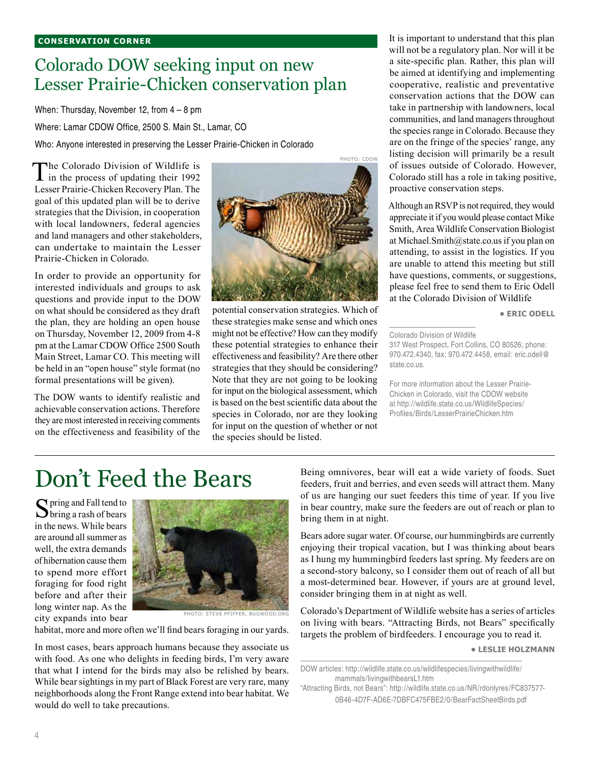#### **conservation corner**

### Colorado DOW seeking input on new Lesser Prairie-Chicken conservation plan

When: Thursday, November 12, from 4 – 8 pm

Where: Lamar CDOW Office, 2500 S. Main St., Lamar, CO

Who: Anyone interested in preserving the Lesser Prairie-Chicken in Colorado

The Colorado Division of Wildlife is<br>in the process of updating their 1992 Lesser Prairie-Chicken Recovery Plan. The goal of this updated plan will be to derive strategies that the Division, in cooperation with local landowners, federal agencies and land managers and other stakeholders, can undertake to maintain the Lesser Prairie-Chicken in Colorado.

In order to provide an opportunity for interested individuals and groups to ask questions and provide input to the DOW on what should be considered as they draft the plan, they are holding an open house on Thursday, November 12, 2009 from 4-8 pm at the Lamar CDOW Office 2500 South Main Street, Lamar CO. This meeting will be held in an "open house" style format (no formal presentations will be given).

The DOW wants to identify realistic and achievable conservation actions. Therefore they are most interested in receiving comments on the effectiveness and feasibility of the



potential conservation strategies. Which of these strategies make sense and which ones might not be effective? How can they modify these potential strategies to enhance their effectiveness and feasibility? Are there other strategies that they should be considering? Note that they are not going to be looking for input on the biological assessment, which is based on the best scientific data about the species in Colorado, nor are they looking for input on the question of whether or not the species should be listed.

It is important to understand that this plan will not be a regulatory plan. Nor will it be a site-specific plan. Rather, this plan will be aimed at identifying and implementing cooperative, realistic and preventative conservation actions that the DOW can take in partnership with landowners, local communities, and land managers throughout the species range in Colorado. Because they are on the fringe of the species' range, any listing decision will primarily be a result of issues outside of Colorado. However, Colorado still has a role in taking positive, proactive conservation steps.

Although an RSVP is not required, they would appreciate it if you would please contact Mike Smith, Area Wildlife Conservation Biologist at Michael.Smith@state.co.us if you plan on attending, to assist in the logistics. If you are unable to attend this meeting but still have questions, comments, or suggestions, please feel free to send them to Eric Odell at the Colorado Division of Wildlife

**• Eric Odell**

317 West Prospect, Fort Collins, CO 80526; phone: 970.472.4340, fax: 970.472.4458, email: eric.odell@ state.co.us.

For more information about the Lesser Prairie-Chicken in Colorado, visit the CDOW website at http://wildlife.state.co.us/WildlifeSpecies/ Profiles/Birds/LesserPrairieChicken.htm

## Don't Feed the Bears

Spring and Fall tend to<br>
bring a rash of bears in the news. While bears are around all summer as well, the extra demands of hibernation cause them to spend more effort foraging for food right before and after their long winter nap. As the city expands into bear



Photo: Steve Pfiffer, Bugwood.org

habitat, more and more often we'll find bears foraging in our yards.

In most cases, bears approach humans because they associate us with food. As one who delights in feeding birds, I'm very aware that what I intend for the birds may also be relished by bears. While bear sightings in my part of Black Forest are very rare, many neighborhoods along the Front Range extend into bear habitat. We would do well to take precautions.

Being omnivores, bear will eat a wide variety of foods. Suet feeders, fruit and berries, and even seeds will attract them. Many of us are hanging our suet feeders this time of year. If you live in bear country, make sure the feeders are out of reach or plan to bring them in at night.

Bears adore sugar water. Of course, our hummingbirds are currently enjoying their tropical vacation, but I was thinking about bears as I hung my hummingbird feeders last spring. My feeders are on a second-story balcony, so I consider them out of reach of all but a most-determined bear. However, if yours are at ground level, consider bringing them in at night as well.

Colorado's Department of Wildlife website has a series of articles on living with bears. "Attracting Birds, not Bears" specifically targets the problem of birdfeeders. I encourage you to read it.

**• Leslie Holzmann**

Colorado Division of Wildlife

DOW articles: http://wildlife.state.co.us/wildlifespecies/livingwithwildlife/ mammals/livingwithbearsL1.htm

<sup>&</sup>quot;Attracting Birds, not Bears": http://wildlife.state.co.us/NR/rdonlyres/FC837577- 0B46-4D7F-AD6E-7DBFC475FBE2/0/BearFactSheetBirds.pdf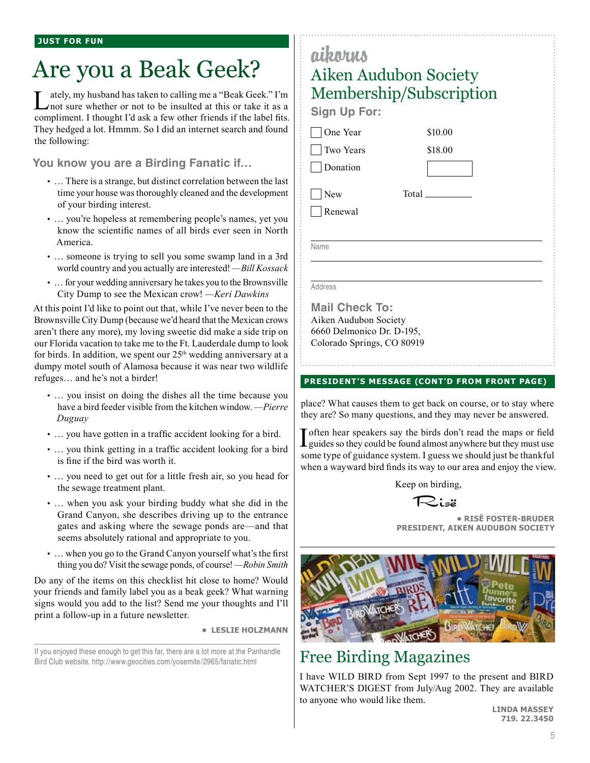## Are you a Beak Geek?

Lately, my husband has taken to calling me a "Beak Geek." I'm not sure whether or not to be insulted at this or take it as a compliment. I thought I'd ask a few other friends if the label fits. They hedged a lot. Hmmm. So I did an internet search and found the following:

**You know you are a Birding Fanatic if…**

- … There is a strange, but distinct correlation between the last time your house was thoroughly cleaned and the development of your birding interest.
- … you're hopeless at remembering people's names, yet you know the scientific names of all birds ever seen in North America.
- … someone is trying to sell you some swamp land in a 3rd world country and you actually are interested! *—Bill Kossack*
- … for your wedding anniversary he takes you to the Brownsville City Dump to see the Mexican crow! *—Keri Dawkins*

At this point I'd like to point out that, while I've never been to the Brownsville City Dump (because we'd heard that the Mexican crows aren't there any more), my loving sweetie did make a side trip on our Florida vacation to take me to the Ft. Lauderdale dump to look for birds. In addition, we spent our 25<sup>th</sup> wedding anniversary at a dumpy motel south of Alamosa because it was near two wildlife refuges… and he's not a birder!

- … you insist on doing the dishes all the time because you have a bird feeder visible from the kitchen window. *—Pierre Duguay*
- … you have gotten in a traffic accident looking for a bird.
- … you think getting in a traffic accident looking for a bird is fine if the bird was worth it.
- … you need to get out for a little fresh air, so you head for the sewage treatment plant.
- … when you ask your birding buddy what she did in the Grand Canyon, she describes driving up to the entrance gates and asking where the sewage ponds are—and that seems absolutely rational and appropriate to you.
- … when you go to the Grand Canyon yourself what's the first thing you do? Visit the sewage ponds, of course! *—Robin Smith*

Do any of the items on this checklist hit close to home? Would your friends and family label you as a beak geek? What warning signs would you add to the list? Send me your thoughts and I'll print a follow-up in a future newsletter.

**• leslie holzmann**

If you enjoyed these enough to get this far, there are a lot more at the Panhandle Bird Club website. http://www.geocities.com/yosemite/2965/fanatic.html

## aikorus Aiken Audubon Society Membership/Subscription

**Sign Up For:**

□ One Year

 Two Years Donation

**New** 

Renewal

Total

\$10.00 \$18.00

Name

Address

**Mail Check To:** Aiken Audubon Society 6660 Delmonico Dr. D-195, Colorado Springs, CO 80919

#### **president's message (cont'd from front page)**

place? What causes them to get back on course, or to stay where they are? So many questions, and they may never be answered.

I often hear speakers say the birds don't read the maps or field<br>I guides so they could be found almost anywhere but they must use some type of guidance system. I guess we should just be thankful when a wayward bird finds its way to our area and enjoy the view.

Keep on birding,

Risë

**• RisË Foster-Bruder President, Aiken Audubon Society**



### Free Birding Magazines

I have WILD BIRD from Sept 1997 to the present and BIRD WATCHER'S DIGEST from July/Aug 2002. They are available to anyone who would like them.

**Linda Massey 719. 22.3450**